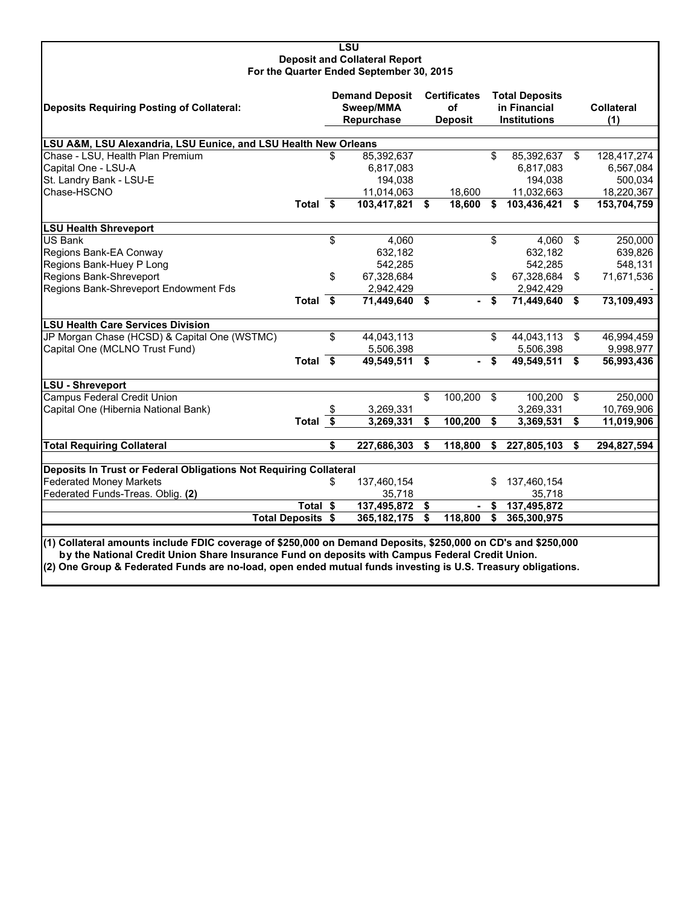### **LSU Deposit and Collateral Report For the Quarter Ended September 30, 2015**

| Deposits Requiring Posting of Collateral:                                                                     |                          |    | <b>Demand Deposit</b><br>Sweep/MMA<br>Repurchase |    | <b>Certificates</b><br><b>of</b><br><b>Deposit</b> |     | <b>Total Deposits</b><br>in Financial<br><b>Institutions</b> |                | <b>Collateral</b><br>(1) |  |
|---------------------------------------------------------------------------------------------------------------|--------------------------|----|--------------------------------------------------|----|----------------------------------------------------|-----|--------------------------------------------------------------|----------------|--------------------------|--|
| LSU A&M, LSU Alexandria, LSU Eunice, and LSU Health New Orleans                                               |                          |    |                                                  |    |                                                    |     |                                                              |                |                          |  |
| 85,392,637<br>Chase - LSU, Health Plan Premium<br>\$<br>\$.<br>85,392,637<br>\$<br>128,417,274                |                          |    |                                                  |    |                                                    |     |                                                              |                |                          |  |
| Capital One - LSU-A                                                                                           |                          |    | 6,817,083                                        |    |                                                    |     | 6,817,083                                                    |                | 6,567,084                |  |
| St. Landry Bank - LSU-E                                                                                       |                          |    | 194,038                                          |    |                                                    |     | 194,038                                                      |                | 500,034                  |  |
| Chase-HSCNO                                                                                                   |                          |    | 11,014,063                                       |    | 18,600                                             |     | 11,032,663                                                   |                | 18,220,367               |  |
|                                                                                                               | Total \$                 |    | 103,417,821 \$                                   |    | 18,600                                             | \$  | 103,436,421                                                  | \$             | 153,704,759              |  |
| <b>LSU Health Shreveport</b>                                                                                  |                          |    |                                                  |    |                                                    |     |                                                              |                |                          |  |
| <b>US Bank</b>                                                                                                |                          | \$ | 4,060                                            |    |                                                    | \$. | $4,060$ \$                                                   |                | 250,000                  |  |
| Regions Bank-EA Conway                                                                                        |                          |    | 632,182                                          |    |                                                    |     | 632,182                                                      |                | 639,826                  |  |
| Regions Bank-Huey P Long                                                                                      |                          |    | 542,285                                          |    |                                                    |     | 542,285                                                      |                | 548,131                  |  |
| Regions Bank-Shreveport                                                                                       |                          | \$ | 67,328,684                                       |    |                                                    | \$  | 67,328,684                                                   | \$             | 71,671,536               |  |
| Regions Bank-Shreveport Endowment Fds                                                                         |                          |    | 2,942,429                                        |    |                                                    |     | 2,942,429                                                    |                |                          |  |
|                                                                                                               | <b>Total</b>             | \$ | 71,449,640 \$                                    |    |                                                    | S   | 71,449,640                                                   | Ŝ.             | 73,109,493               |  |
| <b>LSU Health Care Services Division</b>                                                                      |                          |    |                                                  |    |                                                    |     |                                                              |                |                          |  |
| JP Morgan Chase (HCSD) & Capital One (WSTMC)                                                                  |                          | \$ | 44,043,113                                       |    |                                                    | \$  | 44,043,113                                                   | \$             | 46,994,459               |  |
| Capital One (MCLNO Trust Fund)                                                                                |                          |    | 5,506,398                                        |    |                                                    |     | 5,506,398                                                    |                | 9,998,977                |  |
|                                                                                                               | Total \$                 |    | $49,549,511$ \$                                  |    |                                                    | \$  | 49,549,511                                                   | S.             | 56,993,436               |  |
| LSU - Shreveport                                                                                              |                          |    |                                                  |    |                                                    |     |                                                              |                |                          |  |
| <b>Campus Federal Credit Union</b>                                                                            |                          |    |                                                  | \$ | 100,200                                            | \$  | 100,200                                                      | $\mathfrak{L}$ | 250,000                  |  |
| Capital One (Hibernia National Bank)                                                                          |                          | S  | 3,269,331                                        |    |                                                    |     | 3,269,331                                                    |                | 10,769,906               |  |
|                                                                                                               | Total $\overline{\$}$    |    | 3,269,331                                        | \$ | 100,200                                            | \$  | 3,369,531                                                    | \$             | 11,019,906               |  |
| <b>Total Requiring Collateral</b>                                                                             |                          | \$ | 227,686,303                                      | \$ | 118,800                                            | \$  | 227,805,103                                                  | \$             | 294,827,594              |  |
| Deposits In Trust or Federal Obligations Not Requiring Collateral                                             |                          |    |                                                  |    |                                                    |     |                                                              |                |                          |  |
| <b>Federated Money Markets</b>                                                                                |                          | \$ | 137,460,154                                      |    |                                                    | \$  | 137,460,154                                                  |                |                          |  |
| Federated Funds-Treas. Oblig. (2)                                                                             |                          |    | 35,718                                           |    |                                                    |     | 35,718                                                       |                |                          |  |
|                                                                                                               | Total \$                 |    | 137,495,872 \$                                   |    |                                                    | S   | 137,495,872                                                  |                |                          |  |
|                                                                                                               | <b>Total Deposits \$</b> |    | 365, 182, 175                                    | \$ | 118,800                                            | \$  | 365,300,975                                                  |                |                          |  |
| (1) Collateral amounts include FDIC coverage of \$250,000 on Demand Deposits, \$250,000 on CD's and \$250,000 |                          |    |                                                  |    |                                                    |     |                                                              |                |                          |  |

**(1) Collateral amounts include FDIC coverage of \$250,000 on Demand Deposits, \$250,000 on CD's and \$250,000 by the National Credit Union Share Insurance Fund on deposits with Campus Federal Credit Union. (2) One Group & Federated Funds are no-load, open ended mutual funds investing is U.S. Treasury obligations.**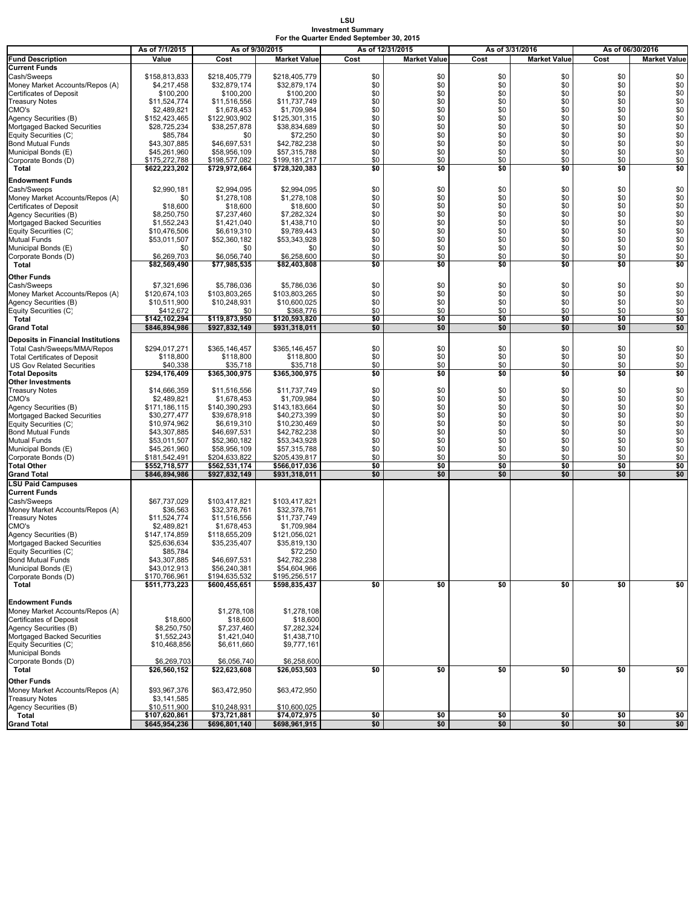**LSU Investment Summary For the Quarter Ended September 30, 2015**

|                                                           | As of 7/1/2015               | As of 9/30/2015              |                               | As of 12/31/2015 |                     | As of 3/31/2016 |                     | As of 06/30/2016 |                     |  |
|-----------------------------------------------------------|------------------------------|------------------------------|-------------------------------|------------------|---------------------|-----------------|---------------------|------------------|---------------------|--|
| <b>Fund Description</b>                                   | Value                        | Cost                         | <b>Market Value</b>           | Cost             | <b>Market Value</b> | Cost            | <b>Market Value</b> | Cost             | <b>Market Value</b> |  |
| <b>Current Funds</b>                                      |                              |                              |                               |                  |                     |                 |                     |                  |                     |  |
| Cash/Sweeps                                               | \$158,813,833                | \$218,405,779                | \$218,405,779                 | \$0              | \$0                 | \$0             | \$0                 | \$0              | \$0                 |  |
| Money Market Accounts/Repos (A)                           | \$4,217,458                  | \$32,879,174                 | \$32,879,174                  | \$0              | \$0                 | \$0             | \$0                 | \$0              | \$0                 |  |
| Certificates of Deposit                                   | \$100,200                    | \$100,200                    | \$100,200                     | \$0              | \$0                 | \$0             | \$0                 | \$0              | \$0                 |  |
| <b>Treasury Notes</b>                                     | \$11,524,774                 | \$11,516,556                 | \$11,737,749                  | \$0              | \$0                 | \$0             | \$0                 | \$0              | \$0                 |  |
| CMO's                                                     | \$2,489,821                  | \$1,678,453                  | \$1,709,984                   | \$0              | \$0                 | \$0             | \$0                 | \$0              | $\$0$               |  |
| Agency Securities (B)                                     | \$152,423,465                | \$122,903,902                | \$125,301,315                 | \$0              | \$0                 | \$0             | \$0                 | \$0              | \$0                 |  |
| Mortgaged Backed Securities                               | \$28,725,234                 | \$38,257,878                 | \$38,834,689                  | \$0              | \$0                 | \$0             | \$0                 | \$0              | \$0<br>\$0          |  |
| Equity Securities (C)                                     | \$85,784                     | \$0                          | \$72,250                      | \$0<br>\$0       | \$0                 | \$0             | \$0                 | \$0              | \$0                 |  |
| <b>Bond Mutual Funds</b>                                  | \$43,307,885<br>\$45,261,960 | \$46,697,531<br>\$58,956,109 | \$42,782,238<br>\$57,315,788  | \$0              | \$0<br>\$0          | \$0<br>\$0      | \$0<br>\$0          | \$0<br>\$0       | \$0                 |  |
| Municipal Bonds (E)<br>Corporate Bonds (D)                | \$175,272,788                | \$198,577,082                | \$199,181,217                 | \$0              | \$0                 | \$0             | \$0                 | \$0              | \$0                 |  |
| Total                                                     | \$622,223,202                | \$729,972,664                | \$728,320,383                 | \$0              | \$0                 | \$0             | \$0                 | \$0              | \$0                 |  |
|                                                           |                              |                              |                               |                  |                     |                 |                     |                  |                     |  |
| <b>Endowment Funds</b>                                    |                              |                              |                               |                  |                     |                 |                     |                  |                     |  |
| Cash/Sweeps                                               | \$2,990,181                  | \$2,994,095                  | \$2,994,095                   | \$0              | \$0                 | \$0             | \$0                 | \$0              | \$0                 |  |
| Money Market Accounts/Repos (A)                           | \$0                          | \$1,278,108                  | \$1,278,108                   | \$0<br>\$0       | \$0<br>\$0          | \$0<br>\$0      | \$0<br>\$0          | \$0              | \$0                 |  |
| Certificates of Deposit                                   | \$18,600<br>\$8,250,750      | \$18,600                     | \$18,600<br>\$7,282,324       | \$0              | \$0                 | \$0             | \$0                 | \$0<br>\$0       | \$0                 |  |
| Agency Securities (B)<br>Mortgaged Backed Securities      | \$1,552,243                  | \$7,237,460<br>\$1,421,040   | \$1,438,710                   | \$0              | \$0                 | \$0             | \$0                 | \$0              | $\$0$<br>$\$0$      |  |
| Equity Securities (C)                                     | \$10,476,506                 | \$6,619,310                  | \$9,789,443                   | \$0              | \$0                 | \$0             | \$0                 | \$0              | $\$0$               |  |
| Mutual Funds                                              | \$53,011,507                 | \$52,360,182                 | \$53,343,928                  | \$0              | \$0                 | \$0             | \$0                 | \$0              | $\overline{\$0}$    |  |
| Municipal Bonds (E)                                       | \$0                          | \$0                          | \$0                           | \$0              | \$0                 | \$0             | \$0                 | \$0              | $\ddot{\$0}$        |  |
| Corporate Bonds (D)                                       | \$6,269,703                  | \$6,056,740                  | \$6,258,600                   | \$0              | \$0                 | \$0             | \$0                 | \$0              | \$0                 |  |
| Total                                                     | \$82.569.490                 | \$77,985,535                 | \$82,403,808                  | \$0              | \$0                 | \$0             | \$0                 | \$0              | \$0                 |  |
|                                                           |                              |                              |                               |                  |                     |                 |                     |                  |                     |  |
| Other Funds                                               |                              |                              |                               |                  |                     |                 |                     |                  |                     |  |
| Cash/Sweeps                                               | \$7,321,696<br>\$120,674,103 | \$5,786,036<br>\$103,803,265 | \$5,786,036                   | \$0<br>\$0       | \$0                 | \$0<br>\$0      | \$0<br>\$0          | \$0              | \$0                 |  |
| Money Market Accounts/Repos (A)<br>Agency Securities (B)  | \$10,511,900                 | \$10,248,931                 | \$103,803,265<br>\$10,600,025 | \$0              | \$0<br>\$0          | \$0             | \$0                 | \$0<br>\$0       | \$0<br>$\$0$        |  |
| Equity Securities (C)                                     | \$412,672                    | \$0                          | \$368,776                     | \$0              | \$0                 | \$0             | \$0                 | \$0              | \$0                 |  |
| Total                                                     | \$142,102,294                | \$119,873,950                | \$120,593,820                 | \$0              | \$0                 | \$0             | \$0                 | \$0              | \$0                 |  |
| <b>Grand Total</b>                                        | \$846,894,986                | \$927,832,149                | \$931,318,011                 | \$0              | \$0                 | \$0             | \$0                 | \$0              | \$0                 |  |
|                                                           |                              |                              |                               |                  |                     |                 |                     |                  |                     |  |
| <b>Deposits in Financial Institutions</b>                 |                              |                              |                               |                  |                     |                 |                     |                  |                     |  |
| Total Cash/Sweeps/MMA/Repos                               | \$294,017,271                | \$365,146,457                | \$365,146,457                 | \$0              | \$0                 | \$0             | \$0                 | \$0              | \$0                 |  |
| <b>Total Certificates of Deposit</b>                      | \$118,800                    | \$118,800                    | \$118,800                     | \$0              | \$0                 | \$0             | \$0                 | \$0              | \$0                 |  |
| <b>US Gov Related Securities</b><br><b>Total Deposits</b> | \$40.338<br>\$294,176,409    | \$35,718<br>\$365,300,975    | \$35,718<br>\$365,300,975     | \$0<br>\$0       | \$0<br>\$0          | \$0<br>\$0      | \$0<br>\$0          | \$0<br>\$0       | \$0<br>\$0          |  |
| Other Investments                                         |                              |                              |                               |                  |                     |                 |                     |                  |                     |  |
| <b>Treasury Notes</b>                                     | \$14,666,359                 | \$11,516,556                 | \$11,737,749                  | \$0              | \$0                 | \$0             | \$0                 | \$0              | \$0                 |  |
| CMO's                                                     | \$2,489,821                  | \$1,678,453                  | \$1,709,984                   | \$0              | \$0                 | \$0             | \$0                 | \$0              | \$0                 |  |
| Agency Securities (B)                                     | \$171,186,115                | \$140,390,293                | \$143,183,664                 | \$0              | \$0                 | \$0             | \$0                 | \$0              | \$0                 |  |
| Mortgaged Backed Securities                               | \$30,277,477                 | \$39,678,918                 | \$40,273,399                  | \$0              | \$0                 | \$0             | \$0                 | \$0              | \$0                 |  |
| Equity Securities (C)                                     | \$10,974,962                 | \$6,619,310                  | \$10,230,469                  | \$0              | \$0                 | \$0             | \$0                 | \$0              | $\$0$               |  |
| <b>Bond Mutual Funds</b>                                  | \$43,307,885                 | \$46,697,531                 | \$42,782,238                  | \$0              | \$0                 | \$0             | \$0                 | \$0              | $\$0$               |  |
| Mutual Funds                                              | \$53,011,507                 | \$52,360,182                 | \$53,343,928                  | \$0              | \$0                 | \$0             | \$0                 | \$0              | \$0                 |  |
| Municipal Bonds (E)                                       | \$45,261,960                 | \$58,956,109                 | \$57,315,788                  | \$0              | \$0                 | \$0             | \$0                 | \$0              | \$0                 |  |
| Corporate Bonds (D)                                       | \$181,542,491                | \$204,633,822                | \$205,439,817                 | \$0              | \$0                 | \$0             | \$0                 | \$0              | \$0                 |  |
| Total Other                                               | \$552,718,577                | \$562,531,174                | \$566,017,036                 | \$0              | \$0                 | \$0             | \$0                 | \$0              | \$0                 |  |
| Grand Total                                               | \$846,894,986                | \$927,832,149                | \$931,318,011                 | \$0              | \$0                 | \$0             | \$0                 | \$0              | \$0                 |  |
| <b>LSU Paid Campuses</b>                                  |                              |                              |                               |                  |                     |                 |                     |                  |                     |  |
| <b>Current Funds</b>                                      |                              |                              |                               |                  |                     |                 |                     |                  |                     |  |
| Cash/Sweeps                                               | \$67,737,029                 | \$103,417,821                | \$103,417,821                 |                  |                     |                 |                     |                  |                     |  |
| Money Market Accounts/Repos (A)                           | \$36,563                     | \$32,378,761                 | \$32,378,761                  |                  |                     |                 |                     |                  |                     |  |
| <b>Treasury Notes</b>                                     | \$11,524,774                 | \$11,516,556                 | \$11,737,749                  |                  |                     |                 |                     |                  |                     |  |
| CMO's                                                     | \$2,489,821                  | \$1,678,453                  | \$1,709,984                   |                  |                     |                 |                     |                  |                     |  |
| Agency Securities (B)                                     | \$147,174,859                | \$118,655,209                | \$121,056,021                 |                  |                     |                 |                     |                  |                     |  |
| Mortgaged Backed Securities<br>Equity Securities (C)      | \$25,636,634<br>\$85,784     | \$35,235,407                 | \$35,819,130<br>\$72,250      |                  |                     |                 |                     |                  |                     |  |
| <b>Bond Mutual Funds</b>                                  | \$43,307,885                 | \$46,697,531                 | \$42,782,238                  |                  |                     |                 |                     |                  |                     |  |
| Municipal Bonds (E)                                       | \$43,012,913                 | \$56,240,381                 | \$54,604,966                  |                  |                     |                 |                     |                  |                     |  |
| Corporate Bonds (D)                                       | \$170,766,961                | \$194,635,532                | \$195,256,517                 |                  |                     |                 |                     |                  |                     |  |
| Total                                                     | \$511,773,223                | \$600,455,651                | \$598,835,437                 | \$0              | \$0                 | \$0             | \$0                 | \$0              | \$0                 |  |
|                                                           |                              |                              |                               |                  |                     |                 |                     |                  |                     |  |
| <b>Endowment Funds</b>                                    |                              |                              |                               |                  |                     |                 |                     |                  |                     |  |
| Money Market Accounts/Repos (A)                           |                              | \$1,278,108                  | \$1,278,108                   |                  |                     |                 |                     |                  |                     |  |
| Certificates of Deposit                                   | \$18,600                     | \$18,600                     | \$18,600                      |                  |                     |                 |                     |                  |                     |  |
| Agency Securities (B)                                     | \$8,250,750                  | \$7,237,460                  | \$7,282,324                   |                  |                     |                 |                     |                  |                     |  |
| Mortgaged Backed Securities                               | \$1,552,243                  | \$1,421,040                  | \$1,438,710                   |                  |                     |                 |                     |                  |                     |  |
| Equity Securities (C)                                     | \$10,468,856                 | \$6,611,660                  | \$9,777,161                   |                  |                     |                 |                     |                  |                     |  |
| <b>Municipal Bonds</b>                                    |                              |                              |                               |                  |                     |                 |                     |                  |                     |  |
| Corporate Bonds (D)                                       | \$6,269,703                  | \$6,056,740                  | \$6,258,600                   |                  |                     |                 |                     |                  |                     |  |
| Total                                                     | \$26,560,152                 | \$22,623,608                 | \$26,053,503                  | \$0              | \$0                 | \$0             | \$0                 | \$0              | \$0                 |  |
| <b>Other Funds</b>                                        |                              |                              |                               |                  |                     |                 |                     |                  |                     |  |
| Money Market Accounts/Repos (A)                           | \$93,967,376                 | \$63,472,950                 | \$63,472,950                  |                  |                     |                 |                     |                  |                     |  |
| <b>Treasury Notes</b>                                     | \$3,141,585                  |                              |                               |                  |                     |                 |                     |                  |                     |  |
| Agency Securities (B)                                     | \$10,511,900                 | \$10,248,931                 | \$10,600,025                  |                  |                     |                 |                     |                  |                     |  |
| Total                                                     | \$107,620,861                | \$73,721,881                 | \$74,072,975                  | \$0              | \$0                 | \$0             | \$0                 | \$0              | \$0                 |  |
| <b>Grand Total</b>                                        | \$645,954,236                | \$696,801,140                | \$698,961,915                 | \$0              | \$0                 | \$0             | \$0                 | \$0              | \$0                 |  |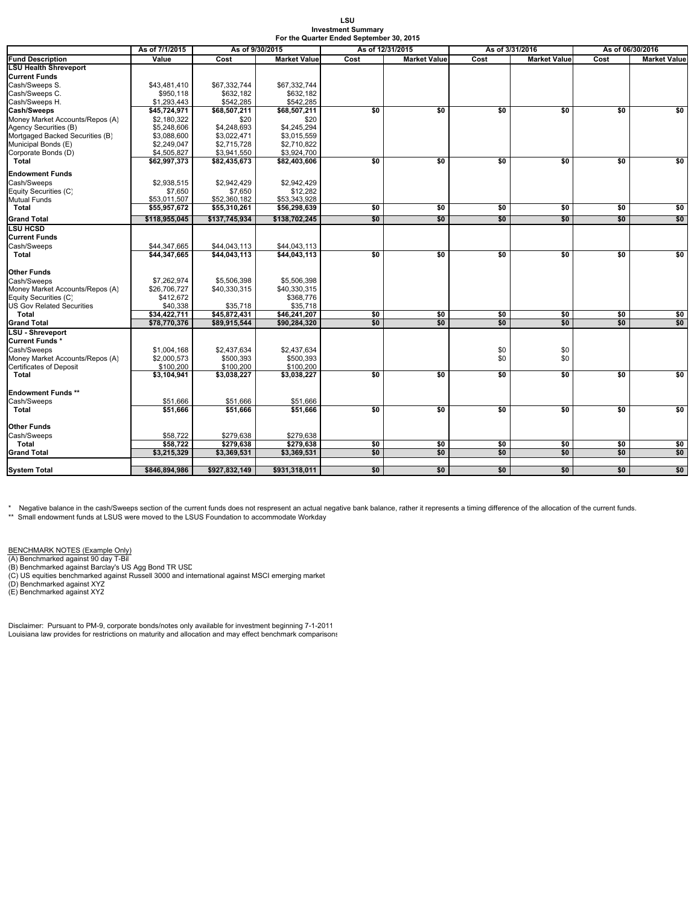#### **LSU Investment Summary For the Quarter Ended September 30, 2015**

|                                  | As of 7/1/2015<br>As of 9/30/2015 |               |                     | As of 12/31/2015 |                     | As of 3/31/2016 |                     | As of 06/30/2016 |                     |
|----------------------------------|-----------------------------------|---------------|---------------------|------------------|---------------------|-----------------|---------------------|------------------|---------------------|
| <b>Fund Description</b>          | Value                             | Cost          | <b>Market Value</b> | Cost             | <b>Market Value</b> | Cost            | <b>Market Value</b> | Cost             | <b>Market Value</b> |
| <b>LSU Health Shreveport</b>     |                                   |               |                     |                  |                     |                 |                     |                  |                     |
| <b>Current Funds</b>             |                                   |               |                     |                  |                     |                 |                     |                  |                     |
| Cash/Sweeps S.                   | \$43,481,410                      | \$67,332,744  | \$67,332,744        |                  |                     |                 |                     |                  |                     |
| Cash/Sweeps C.                   | \$950,118                         | \$632,182     | \$632,182           |                  |                     |                 |                     |                  |                     |
| Cash/Sweeps H.                   | \$1,293,443                       | \$542,285     | \$542,285           |                  |                     |                 |                     |                  |                     |
| <b>Cash/Sweeps</b>               | \$45,724,971                      | \$68,507,211  | \$68,507,211        | \$0              | \$0                 | \$0             | \$0                 | \$0              | \$0                 |
| Money Market Accounts/Repos (A)  | \$2,180,322                       | \$20          | \$20                |                  |                     |                 |                     |                  |                     |
| Agency Securities (B)            | \$5,248,606                       | \$4,248,693   | \$4,245,294         |                  |                     |                 |                     |                  |                     |
| Mortgaged Backed Securities (B)  | \$3,088,600                       | \$3,022,471   | \$3,015,559         |                  |                     |                 |                     |                  |                     |
| Municipal Bonds (E)              | \$2,249,047                       | \$2,715,728   | \$2,710,822         |                  |                     |                 |                     |                  |                     |
| Corporate Bonds (D)              | \$4,505,827                       | \$3,941,550   | \$3,924,700         |                  |                     |                 |                     |                  |                     |
| Total                            | \$62,997,373                      | \$82,435,673  | \$82,403,606        | \$0              | \$0                 | \$0             | \$0                 | \$0              | \$0                 |
| <b>Endowment Funds</b>           |                                   |               |                     |                  |                     |                 |                     |                  |                     |
| Cash/Sweeps                      | \$2,938,515                       | \$2,942,429   | \$2,942,429         |                  |                     |                 |                     |                  |                     |
| Equity Securities (C)            | \$7,650                           | \$7,650       | \$12,282            |                  |                     |                 |                     |                  |                     |
| Mutual Funds                     | \$53,011,507                      | \$52,360,182  | \$53,343,928        |                  |                     |                 |                     |                  |                     |
| Total                            | \$55,957,672                      | \$55,310,261  | \$56,298,639        | \$0              | \$0                 | \$0             | \$0                 | \$0              | \$0                 |
| <b>Grand Total</b>               | \$118,955,045                     | \$137,745,934 | \$138,702,245       | \$0              | \$0                 | \$0             | \$0                 | \$0              | \$0                 |
| <b>LSU HCSD</b>                  |                                   |               |                     |                  |                     |                 |                     |                  |                     |
| <b>Current Funds</b>             |                                   |               |                     |                  |                     |                 |                     |                  |                     |
| Cash/Sweeps                      | \$44,347,665                      | \$44,043,113  | \$44,043,113        |                  |                     |                 |                     |                  |                     |
| Total                            | \$44,347,665                      | \$44,043,113  | \$44,043,113        | \$0              | \$0                 | \$0             | \$0                 | \$0              | \$0                 |
|                                  |                                   |               |                     |                  |                     |                 |                     |                  |                     |
| Other Funds                      |                                   |               |                     |                  |                     |                 |                     |                  |                     |
| Cash/Sweeps                      | \$7.262.974                       | \$5,506,398   | \$5,506,398         |                  |                     |                 |                     |                  |                     |
| Money Market Accounts/Repos (A)  | \$26,706,727                      | \$40,330,315  | \$40,330,315        |                  |                     |                 |                     |                  |                     |
| Equity Securities (C)            | \$412,672                         |               | \$368,776           |                  |                     |                 |                     |                  |                     |
| <b>US Gov Related Securities</b> | \$40,338                          | \$35,718      | \$35,718            |                  |                     |                 |                     |                  |                     |
| Total                            | \$34,422,711                      | \$45,872,431  | \$46.241.207        | \$0              | \$0                 | \$0             | \$0                 | \$0              | \$0                 |
| <b>Grand Total</b>               | \$78,770,376                      | \$89,915,544  | \$90,284,320        | \$0              | \$0                 | \$0             | \$0                 | \$0              | \$0                 |
| LSU - Shreveport                 |                                   |               |                     |                  |                     |                 |                     |                  |                     |
| Current Funds*                   |                                   |               |                     |                  |                     |                 |                     |                  |                     |
| Cash/Sweeps                      | \$1,004.168                       | \$2,437,634   | \$2,437,634         |                  |                     | \$0             | \$0                 |                  |                     |
| Money Market Accounts/Repos (A)  | \$2,000,573                       | \$500,393     | \$500,393           |                  |                     | \$0             | \$0                 |                  |                     |
| <b>Certificates of Deposit</b>   | \$100,200                         | \$100,200     | \$100,200           |                  |                     |                 |                     |                  |                     |
| Total                            | \$3,104,941                       | \$3,038,227   | \$3.038.227         | \$0              | \$0                 | \$0             | \$0                 | \$0              | \$0                 |
| Endowment Funds **               |                                   |               |                     |                  |                     |                 |                     |                  |                     |
|                                  |                                   |               |                     |                  |                     |                 |                     |                  |                     |
| Cash/Sweeps                      | \$51,666                          | \$51,666      | \$51,666            | \$0              |                     | \$0             |                     |                  | \$0                 |
| Total                            | \$51,666                          | \$51,666      | \$51,666            |                  | \$0                 |                 | \$0                 | \$0              |                     |
| Other Funds                      |                                   |               |                     |                  |                     |                 |                     |                  |                     |
| Cash/Sweeps                      | \$58,722                          | \$279,638     | \$279,638           |                  |                     |                 |                     |                  |                     |
| Total                            | \$58.722                          | \$279.638     | \$279,638           | \$0              | \$0                 | \$0             | \$0                 | \$0              | \$0                 |
| <b>Grand Total</b>               | \$3,215,329                       | \$3,369,531   | \$3,369,531         | \$0              | \$0                 | \$0             | \$0                 | \$0              | \$0                 |
|                                  |                                   |               |                     |                  |                     |                 |                     |                  |                     |
| <b>System Total</b>              | \$846,894,986                     | \$927,832,149 | \$931,318,011       | \$0              | \$0                 | \$0             | \$0                 | \$0              | \$0                 |

\* Negative balance in the cash/Sweeps section of the current funds does not respresent an actual negative bank balance, rather it represents a timing difference of the allocation of the current funds.<br>\*\* Small endowment fu

<u>BENCHMARK NOTES (Example Only)</u><br>(A) Benchmarked against 90 day T-Bil<br>(B) Benchmarked against Barclay's US Agg Bond TR USD

(C) US equities benchmarked against Russell 3000 and international against MSCI emerging market (D) Benchmarked against XYZ (E) Benchmarked against XYZ

Disclaimer: Pursuant to PM-9, corporate bonds/notes only available for investment beginning 7-1-2011 Louisiana law provides for restrictions on maturity and allocation and may effect benchmark comparisons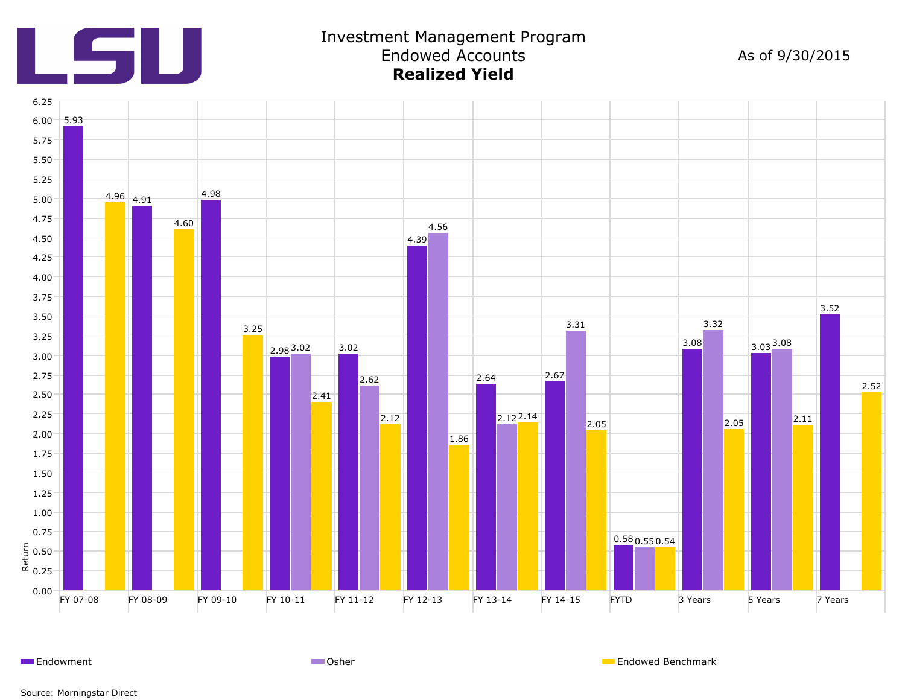

## Investment Management Program Endowed Accounts **Realized Yield**

As of 9/30/2015



Endowment **Endowment Endowed Benchmark** Communication Communication Communication Communication Communication Communication Communication Communication Communication Communication Communication Communication Communication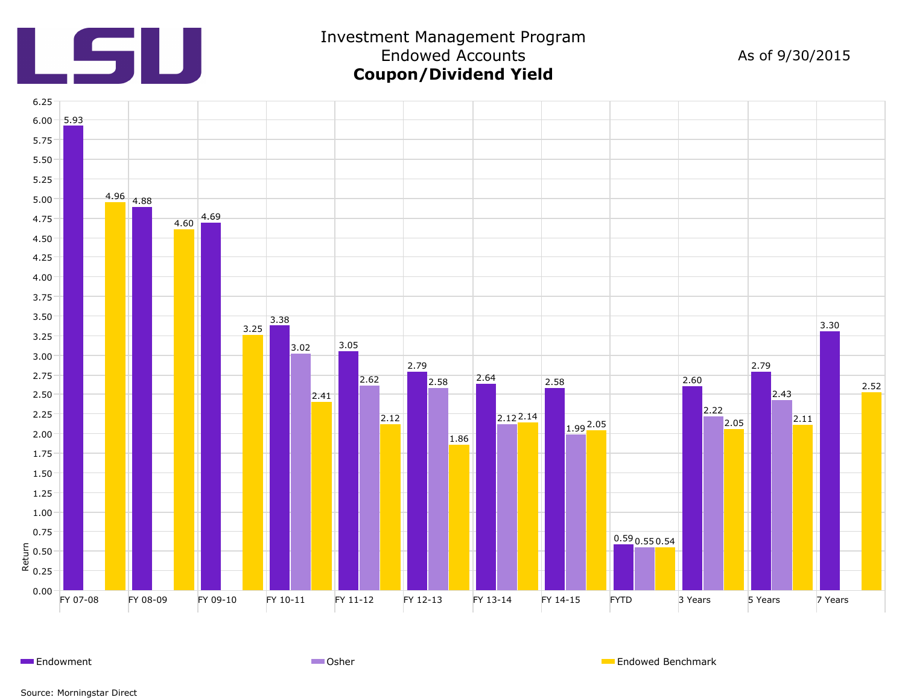

# Investment Management Program Endowed Accounts **Coupon/Dividend Yield**

## As of 9/30/2015



Endowment **Endowed Benchmark** Communication Communication Communication Communication Communication Communication Communication Communication Communication Communication Communication Communication Communication Communicat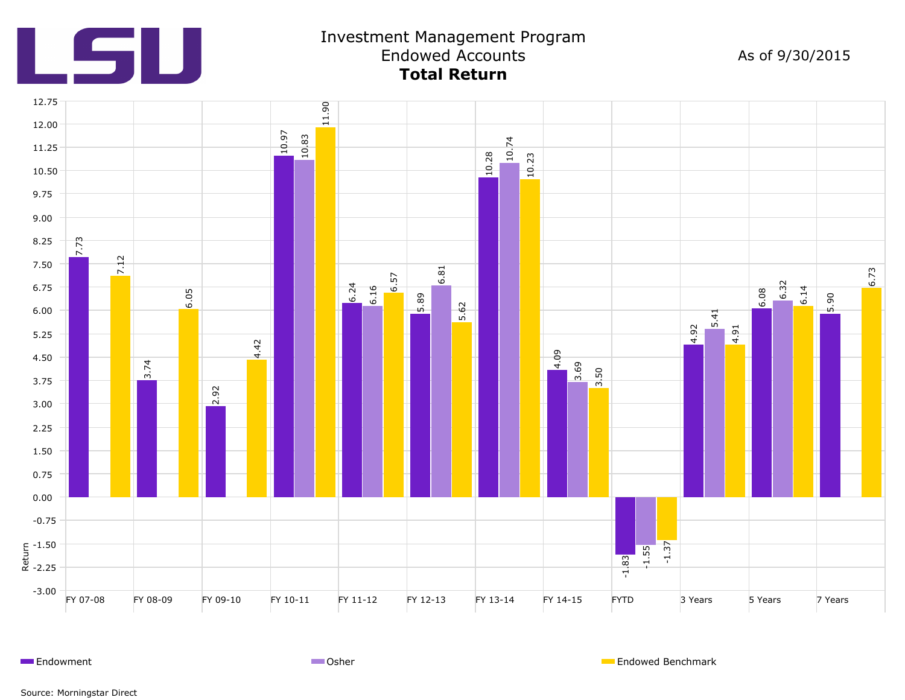

## Investment Management Program Endowed Accounts **Total Return**

As of 9/30/2015



Endowment **Endowed Benchmark** Communication Communication Communication Communication Communication Communication Communication Communication Communication Communication Communication Communication Communication Communicat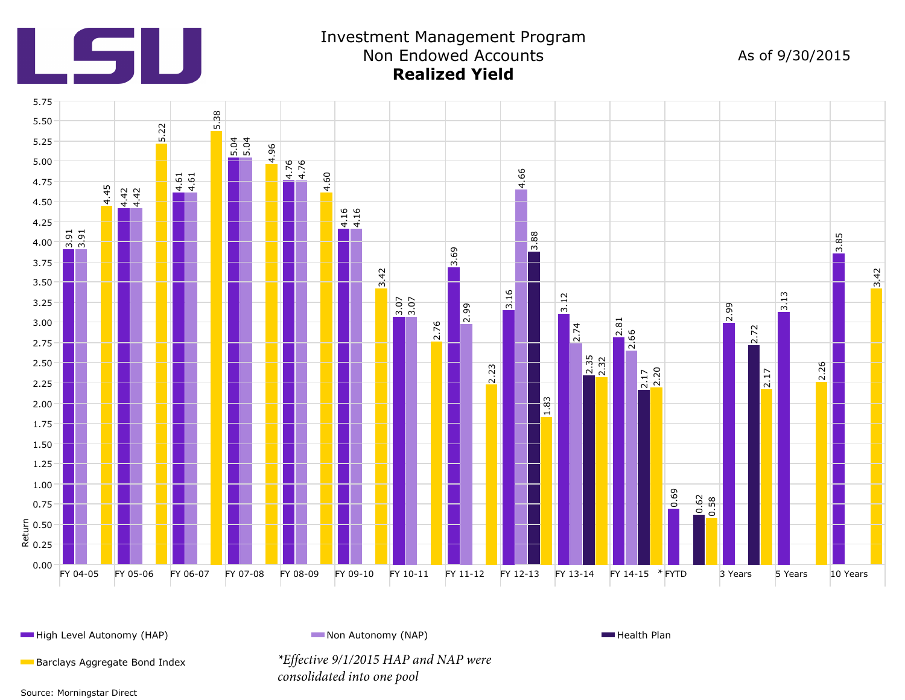

## Investment Management Program Non Endowed Accounts **Realized Yield**

As of 9/30/2015



**High Level Autonomy (HAP)** Non Autonomy (NAP) Non Autonomy (NAP) Non Autonomy (NAP) **Non Autonomy (NAP)** Health Plan

Barclays Aggregate Bond Index *\*Effective 9/1/2015 HAP and NAP were consolidated into one pool*

Source: Morningstar Direct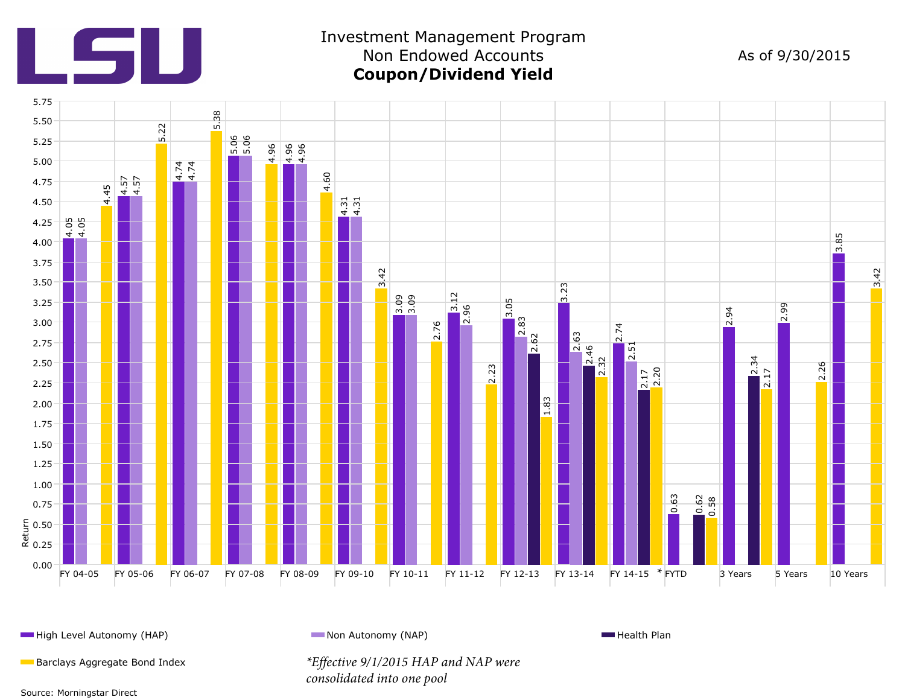

## Investment Management Program Non Endowed Accounts **Coupon/Dividend Yield**

As of 9/30/2015



**High Level Autonomy (HAP)** Non Autonomy (NAP) Non Autonomy (NAP) Non Autonomy (NAP) **Non Autonomy (NAP)** Health Plan

Barclays Aggregate Bond Index *\*Effective 9/1/2015 HAP and NAP were* 

*consolidated into one pool*

Source: Morningstar Direct